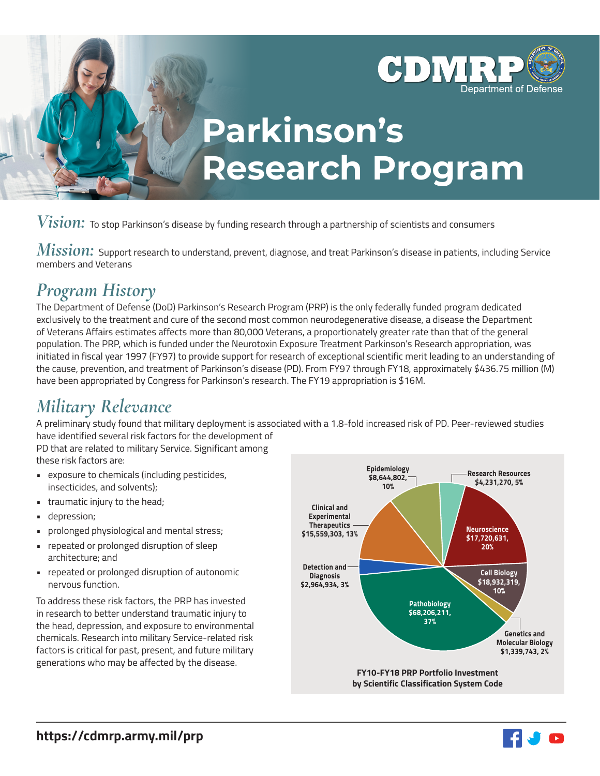

# **Parkinson's Research Program**

 $Vision:$  To stop Parkinson's disease by funding research through a partnership of scientists and consumers

 $Mission:$  Support research to understand, prevent, diagnose, and treat Parkinson's disease in patients, including Service members and Veterans

## *Program History*

The Department of Defense (DoD) Parkinson's Research Program (PRP) is the only federally funded program dedicated exclusively to the treatment and cure of the second most common neurodegenerative disease, a disease the Department of Veterans Affairs estimates affects more than 80,000 Veterans, a proportionately greater rate than that of the general population. The PRP, which is funded under the Neurotoxin Exposure Treatment Parkinson's Research appropriation, was initiated in fiscal year 1997 (FY97) to provide support for research of exceptional scientific merit leading to an understanding of the cause, prevention, and treatment of Parkinson's disease (PD). From FY97 through FY18, approximately \$436.75 million (M) have been appropriated by Congress for Parkinson's research. The FY19 appropriation is \$16M.

# *Military Relevance*

A preliminary study found that military deployment is associated with a 1.8-fold increased risk of PD. Peer-reviewed studies have identified several risk factors for the development of PD that are related to military Service. Significant among

these risk factors are:

- exposure to chemicals (including pesticides, insecticides, and solvents);
- traumatic injury to the head;
- depression;
- prolonged physiological and mental stress;
- repeated or prolonged disruption of sleep architecture; and
- repeated or prolonged disruption of autonomic nervous function.

To address these risk factors, the PRP has invested in research to better understand traumatic injury to the head, depression, and exposure to environmental chemicals. Research into military Service-related risk factors is critical for past, present, and future military generations who may be affected by the disease.



**by Scientific Classification System Code**